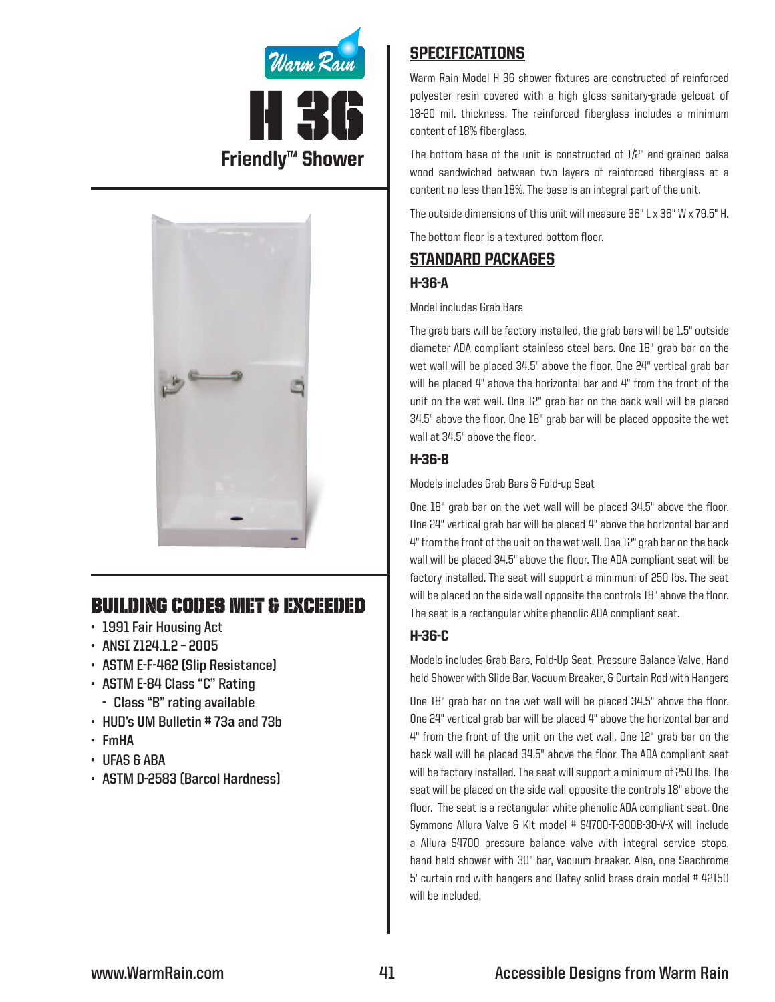



# Building Codes Met & EXCEEDED

- **• 1991 Fair Housing Act**
- **• ANSI Z124.1.2 – 2005**
- **• ASTM E-F-462 (Slip Resistance)**
- **• ASTM E-84 Class "C" Rating**
	- **- Class "B" rating available**
- **• HUD's UM Bulletin # 73a and 73b**
- **• FmHA**
- **• UFAS & ABA**
- **• ASTM D-2583 (Barcol Hardness)**

# **SPECIFICATIONS**

Warm Rain Model H 36 shower fixtures are constructed of reinforced polyester resin covered with a high gloss sanitary-grade gelcoat of 18-20 mil. thickness. The reinforced fiberglass includes a minimum content of 18% fiberglass.

The bottom base of the unit is constructed of 1/2" end-grained balsa wood sandwiched between two layers of reinforced fiberglass at a content no less than 18%. The base is an integral part of the unit.

The outside dimensions of this unit will measure 36" L x 36" W x 79.5" H.

The bottom floor is a textured bottom floor.

## Standard packages

### H-36-A

#### Model includes Grab Bars

The grab bars will be factory installed, the grab bars will be 1.5" outside diameter ADA compliant stainless steel bars. One 18" grab bar on the wet wall will be placed 34.5" above the floor. One 24" vertical grab bar will be placed 4" above the horizontal bar and 4" from the front of the unit on the wet wall. One 12" grab bar on the back wall will be placed 34.5" above the floor. One 18" grab bar will be placed opposite the wet wall at 34.5" above the floor.

### H-36-B

Models includes Grab Bars & Fold-up Seat

One 18" grab bar on the wet wall will be placed 34.5" above the floor. One 24" vertical grab bar will be placed 4" above the horizontal bar and 4" from the front of the unit on the wet wall. One 12" grab bar on the back wall will be placed 34.5" above the floor. The ADA compliant seat will be factory installed. The seat will support a minimum of 250 lbs. The seat will be placed on the side wall opposite the controls 18" above the floor. The seat is a rectangular white phenolic ADA compliant seat.

## H-36-C

Models includes Grab Bars, Fold-Up Seat, Pressure Balance Valve, Hand held Shower with Slide Bar, Vacuum Breaker, & Curtain Rod with Hangers

One 18" grab bar on the wet wall will be placed 34.5" above the floor. One 24" vertical grab bar will be placed 4" above the horizontal bar and 4" from the front of the unit on the wet wall. One 12" grab bar on the back wall will be placed 34.5" above the floor. The ADA compliant seat will be factory installed. The seat will support a minimum of 250 lbs. The seat will be placed on the side wall opposite the controls 18" above the floor. The seat is a rectangular white phenolic ADA compliant seat. One Symmons Allura Valve & Kit model # S4700-T-300B-30-V-X will include a Allura S4700 pressure balance valve with integral service stops, hand held shower with 30" bar, Vacuum breaker. Also, one Seachrome 5' curtain rod with hangers and Oatey solid brass drain model #42150 will be included.